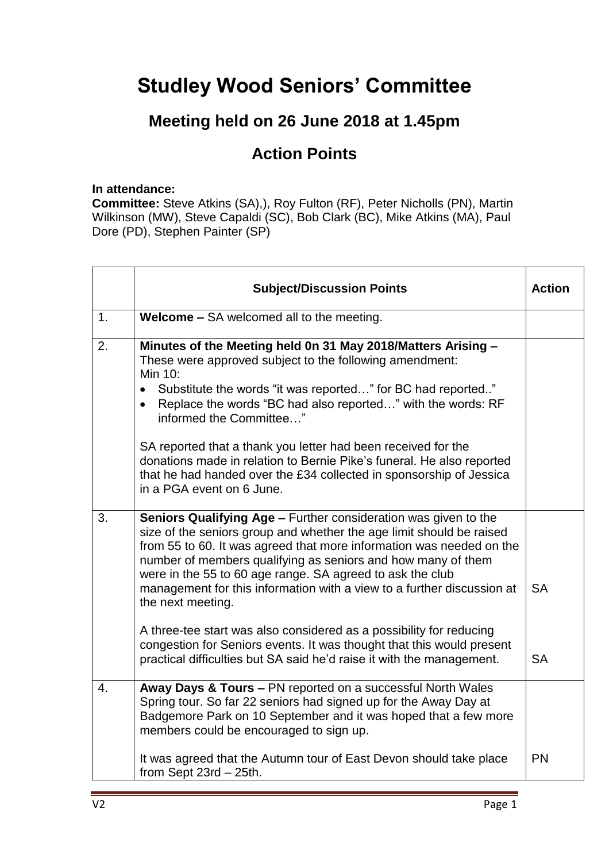## **Studley Wood Seniors' Committee**

## **Meeting held on 26 June 2018 at 1.45pm**

## **Action Points**

## **In attendance:**

**Committee:** Steve Atkins (SA),), Roy Fulton (RF), Peter Nicholls (PN), Martin Wilkinson (MW), Steve Capaldi (SC), Bob Clark (BC), Mike Atkins (MA), Paul Dore (PD), Stephen Painter (SP)

|    | <b>Subject/Discussion Points</b>                                                                                                                                                                                                                                                                                                                                                                                                            | <b>Action</b> |
|----|---------------------------------------------------------------------------------------------------------------------------------------------------------------------------------------------------------------------------------------------------------------------------------------------------------------------------------------------------------------------------------------------------------------------------------------------|---------------|
| 1. | <b>Welcome - SA welcomed all to the meeting.</b>                                                                                                                                                                                                                                                                                                                                                                                            |               |
| 2. | Minutes of the Meeting held 0n 31 May 2018/Matters Arising -<br>These were approved subject to the following amendment:<br>Min 10:<br>• Substitute the words "it was reported" for BC had reported"<br>Replace the words "BC had also reported" with the words: RF<br>$\bullet$<br>informed the Committee"<br>SA reported that a thank you letter had been received for the                                                                 |               |
|    | donations made in relation to Bernie Pike's funeral. He also reported<br>that he had handed over the £34 collected in sponsorship of Jessica<br>in a PGA event on 6 June.                                                                                                                                                                                                                                                                   |               |
| 3. | Seniors Qualifying Age - Further consideration was given to the<br>size of the seniors group and whether the age limit should be raised<br>from 55 to 60. It was agreed that more information was needed on the<br>number of members qualifying as seniors and how many of them<br>were in the 55 to 60 age range. SA agreed to ask the club<br>management for this information with a view to a further discussion at<br>the next meeting. | <b>SA</b>     |
|    | A three-tee start was also considered as a possibility for reducing<br>congestion for Seniors events. It was thought that this would present<br>practical difficulties but SA said he'd raise it with the management.                                                                                                                                                                                                                       | <b>SA</b>     |
| 4. | Away Days & Tours - PN reported on a successful North Wales<br>Spring tour. So far 22 seniors had signed up for the Away Day at<br>Badgemore Park on 10 September and it was hoped that a few more<br>members could be encouraged to sign up.                                                                                                                                                                                               |               |
|    | It was agreed that the Autumn tour of East Devon should take place<br>from Sept $23rd - 25th$ .                                                                                                                                                                                                                                                                                                                                             | PN            |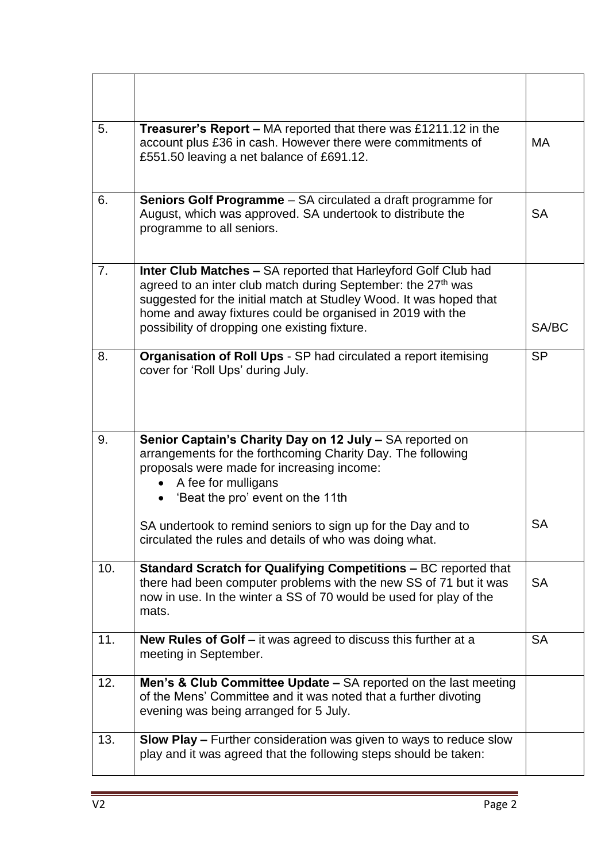| 5.  | Treasurer's Report - MA reported that there was £1211.12 in the<br>account plus £36 in cash. However there were commitments of<br>£551.50 leaving a net balance of £691.12.                                                                                                                                                            | МA        |
|-----|----------------------------------------------------------------------------------------------------------------------------------------------------------------------------------------------------------------------------------------------------------------------------------------------------------------------------------------|-----------|
| 6.  | Seniors Golf Programme - SA circulated a draft programme for<br>August, which was approved. SA undertook to distribute the<br>programme to all seniors.                                                                                                                                                                                | <b>SA</b> |
| 7.  | <b>Inter Club Matches - SA reported that Harleyford Golf Club had</b><br>agreed to an inter club match during September: the 27 <sup>th</sup> was<br>suggested for the initial match at Studley Wood. It was hoped that<br>home and away fixtures could be organised in 2019 with the<br>possibility of dropping one existing fixture. | SA/BC     |
| 8.  | Organisation of Roll Ups - SP had circulated a report itemising<br>cover for 'Roll Ups' during July.                                                                                                                                                                                                                                   | <b>SP</b> |
| 9.  | Senior Captain's Charity Day on 12 July - SA reported on<br>arrangements for the forthcoming Charity Day. The following<br>proposals were made for increasing income:<br>A fee for mulligans<br>'Beat the pro' event on the 11th                                                                                                       |           |
|     | SA undertook to remind seniors to sign up for the Day and to<br>circulated the rules and details of who was doing what.                                                                                                                                                                                                                | <b>SA</b> |
| 10. | Standard Scratch for Qualifying Competitions - BC reported that<br>there had been computer problems with the new SS of 71 but it was<br>now in use. In the winter a SS of 70 would be used for play of the<br>mats.                                                                                                                    | <b>SA</b> |
| 11. | <b>New Rules of Golf</b> $-$ it was agreed to discuss this further at a<br>meeting in September.                                                                                                                                                                                                                                       | <b>SA</b> |
| 12. | Men's & Club Committee Update - SA reported on the last meeting<br>of the Mens' Committee and it was noted that a further divoting<br>evening was being arranged for 5 July.                                                                                                                                                           |           |
| 13. | <b>Slow Play - Further consideration was given to ways to reduce slow</b><br>play and it was agreed that the following steps should be taken:                                                                                                                                                                                          |           |